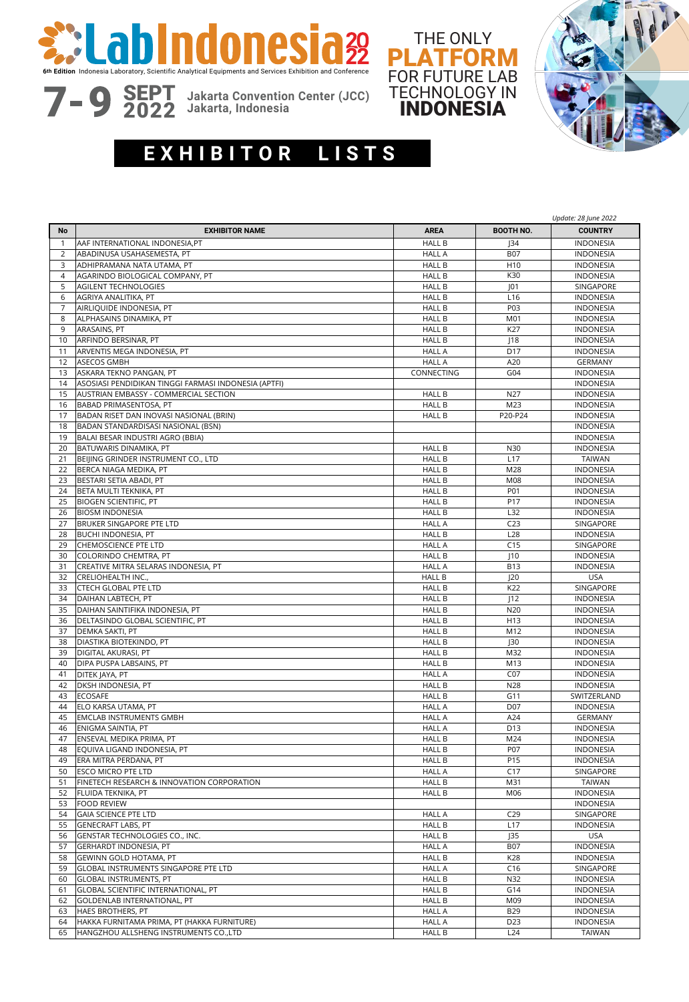





SEPT <sup>2022</sup> **Jakarta Convention Center (JCC) Jakarta, Indonesia**

## $\overline{E}$  **XHIBITOR LISTS**

|                |                                                      |               |                  | Update: 28 June 2022 |
|----------------|------------------------------------------------------|---------------|------------------|----------------------|
| No             | <b>EXHIBITOR NAME</b>                                | <b>AREA</b>   | <b>BOOTH NO.</b> | <b>COUNTRY</b>       |
| $\mathbf{1}$   | AAF INTERNATIONAL INDONESIA, PT                      | <b>HALL B</b> | J34              | <b>INDONESIA</b>     |
| 2              | ABADINUSA USAHASEMESTA, PT                           | <b>HALL A</b> | <b>B07</b>       | <b>INDONESIA</b>     |
| 3              | ADHIPRAMANA NATA UTAMA, PT                           | <b>HALL B</b> | H <sub>10</sub>  | <b>INDONESIA</b>     |
| $\overline{4}$ | AGARINDO BIOLOGICAL COMPANY, PT                      | <b>HALL B</b> | K30              | <b>INDONESIA</b>     |
| 5              | AGILENT TECHNOLOGIES                                 | <b>HALL B</b> | J01              | SINGAPORE            |
| 6              | AGRIYA ANALITIKA, PT                                 | <b>HALL B</b> | L <sub>16</sub>  | <b>INDONESIA</b>     |
| 7              | AIRLIQUIDE INDONESIA, PT                             | <b>HALL B</b> | P03              | <b>INDONESIA</b>     |
| 8              | ALPHASAINS DINAMIKA, PT                              | <b>HALL B</b> | M01              | <b>INDONESIA</b>     |
| 9              | ARASAINS, PT                                         | <b>HALL B</b> | K27              | <b>INDONESIA</b>     |
| 10             | ARFINDO BERSINAR, PT                                 | <b>HALL B</b> | 18               | <b>INDONESIA</b>     |
| 11             | ARVENTIS MEGA INDONESIA, PT                          | <b>HALL A</b> | D17              | <b>INDONESIA</b>     |
| 12             | <b>ASECOS GMBH</b>                                   | <b>HALL A</b> | A20              | <b>GERMANY</b>       |
| 13             | ASKARA TEKNO PANGAN, PT                              | CONNECTING    | G04              | <b>INDONESIA</b>     |
| 14             | ASOSIASI PENDIDIKAN TINGGI FARMASI INDONESIA (APTFI) |               |                  | <b>INDONESIA</b>     |
| 15             | AUSTRIAN EMBASSY - COMMERCIAL SECTION                | <b>HALL B</b> | N27              | <b>INDONESIA</b>     |
| 16             | BABAD PRIMASENTOSA, PT                               | <b>HALL B</b> | M23              | <b>INDONESIA</b>     |
| 17             | BADAN RISET DAN INOVASI NASIONAL (BRIN)              | <b>HALL B</b> | P20-P24          | <b>INDONESIA</b>     |
| 18             | BADAN STANDARDISASI NASIONAL (BSN)                   |               |                  | <b>INDONESIA</b>     |
| 19             | BALAI BESAR INDUSTRI AGRO (BBIA)                     |               |                  | <b>INDONESIA</b>     |
| 20             | BATUWARIS DINAMIKA, PT                               | <b>HALL B</b> | N30              | <b>INDONESIA</b>     |
| 21             | BEIJING GRINDER INSTRUMENT CO., LTD                  | <b>HALL B</b> | L17              | <b>TAIWAN</b>        |
| 22             | BERCA NIAGA MEDIKA, PT                               | <b>HALL B</b> | M28              | <b>INDONESIA</b>     |
| 23             | BESTARI SETIA ABADI, PT                              | <b>HALL B</b> | M08              | <b>INDONESIA</b>     |
| 24             | BETA MULTI TEKNIKA, PT                               | <b>HALL B</b> | P01              | <b>INDONESIA</b>     |
| 25             | <b>BIOGEN SCIENTIFIC, PT</b>                         | <b>HALL B</b> | P17              | <b>INDONESIA</b>     |
| 26             | <b>BIOSM INDONESIA</b>                               | <b>HALL B</b> | L32              | <b>INDONESIA</b>     |
| 27             | BRUKER SINGAPORE PTE LTD                             | <b>HALL A</b> | C <sub>23</sub>  | SINGAPORE            |
| 28             | BUCHI INDONESIA, PT                                  | <b>HALL B</b> | L28              | <b>INDONESIA</b>     |
| 29             | <b>CHEMOSCIENCE PTE LTD</b>                          | <b>HALL A</b> | C15              | SINGAPORE            |
| 30             | COLORINDO CHEMTRA, PT                                | <b>HALL B</b> | 110              | <b>INDONESIA</b>     |
| 31             | CREATIVE MITRA SELARAS INDONESIA, PT                 | <b>HALL A</b> | <b>B13</b>       | <b>INDONESIA</b>     |
| 32             | CRELIOHEALTH INC.,                                   | <b>HALL B</b> | J20              | <b>USA</b>           |
| 33             | CTECH GLOBAL PTE LTD                                 | <b>HALL B</b> | K22              | SINGAPORE            |
| 34             | DAIHAN LABTECH, PT                                   | <b>HALL B</b> | 12               | <b>INDONESIA</b>     |
| 35             | DAIHAN SAINTIFIKA INDONESIA, PT                      | <b>HALL B</b> | N20              | <b>INDONESIA</b>     |
| 36             | DELTASINDO GLOBAL SCIENTIFIC, PT                     | <b>HALL B</b> | H13              | <b>INDONESIA</b>     |
| 37             | DEMKA SAKTI, PT                                      | <b>HALL B</b> | M12              | <b>INDONESIA</b>     |
| 38             | DIASTIKA BIOTEKINDO, PT                              | <b>HALL B</b> | J30              | <b>INDONESIA</b>     |
| 39             | DIGITAL AKURASI, PT                                  | <b>HALL B</b> | M32              | <b>INDONESIA</b>     |
| 40             | DIPA PUSPA LABSAINS, PT                              | <b>HALL B</b> | M13              | <b>INDONESIA</b>     |
| 41             | DITEK JAYA, PT                                       | <b>HALL A</b> | CO <sub>7</sub>  | <b>INDONESIA</b>     |
| 42             | DKSH INDONESIA, PT                                   | <b>HALL B</b> | N28              | <b>INDONESIA</b>     |
| 43             | <b>ECOSAFE</b>                                       | <b>HALL B</b> | G11              | SWITZERLAND          |
| 44             | ELO KARSA UTAMA, PT                                  | <b>HALL A</b> | D07              | <b>INDONESIA</b>     |
| 45             | <b>EMCLAB INSTRUMENTS GMBH</b>                       | <b>HALL A</b> | A24              | <b>GERMANY</b>       |
| 46             | <b>ENIGMA SAINTIA, PT</b>                            | <b>HALL A</b> | D13              | <b>INDONESIA</b>     |
| 47             | ENSEVAL MEDIKA PRIMA, PT                             | <b>HALL B</b> | M24              | <b>INDONESIA</b>     |
| 48             | EQUIVA LIGAND INDONESIA, PT                          | <b>HALL B</b> | P07              | <b>INDONESIA</b>     |
| 49             | ERA MITRA PERDANA, PT                                | <b>HALL B</b> | P15              | <b>INDONESIA</b>     |
| 50             | <b>ESCO MICRO PTE LTD</b>                            | <b>HALL A</b> | C17              | SINGAPORE            |
| 51             | FINETECH RESEARCH & INNOVATION CORPORATION           | <b>HALL B</b> | M31              | TAIWAN               |
| 52             | FLUIDA TEKNIKA, PT                                   | <b>HALL B</b> | M06              | <b>INDONESIA</b>     |
| 53             | <b>FOOD REVIEW</b>                                   |               |                  | <b>INDONESIA</b>     |
| 54             | <b>GAIA SCIENCE PTE LTD</b>                          | <b>HALL A</b> | C29              | SINGAPORE            |
| 55             | <b>GENECRAFT LABS, PT</b>                            | <b>HALL B</b> | L17              | <b>INDONESIA</b>     |
| 56             | GENSTAR TECHNOLOGIES CO., INC.                       | <b>HALL B</b> | J35              | <b>USA</b>           |
| 57             | GERHARDT INDONESIA, PT                               | <b>HALL A</b> | <b>B07</b>       | <b>INDONESIA</b>     |
| 58             | GEWINN GOLD HOTAMA, PT                               | <b>HALL B</b> | K28              | <b>INDONESIA</b>     |
| 59             | GLOBAL INSTRUMENTS SINGAPORE PTE LTD                 | <b>HALL A</b> | C16              | SINGAPORE            |
| 60             | GLOBAL INSTRUMENTS, PT                               | <b>HALL B</b> | N32              | <b>INDONESIA</b>     |
| 61             | GLOBAL SCIENTIFIC INTERNATIONAL, PT                  | <b>HALL B</b> | G14              | <b>INDONESIA</b>     |
| 62             | GOLDENLAB INTERNATIONAL, PT                          | <b>HALL B</b> | M09              | <b>INDONESIA</b>     |
| 63             | <b>HAES BROTHERS, PT</b>                             | <b>HALL A</b> | <b>B29</b>       | <b>INDONESIA</b>     |
| 64             | HAKKA FURNITAMA PRIMA, PT (HAKKA FURNITURE)          | <b>HALL A</b> | D23              | <b>INDONESIA</b>     |
| 65             | HANGZHOU ALLSHENG INSTRUMENTS CO., LTD               | <b>HALL B</b> | L <sub>24</sub>  | <b>TAIWAN</b>        |
|                |                                                      |               |                  |                      |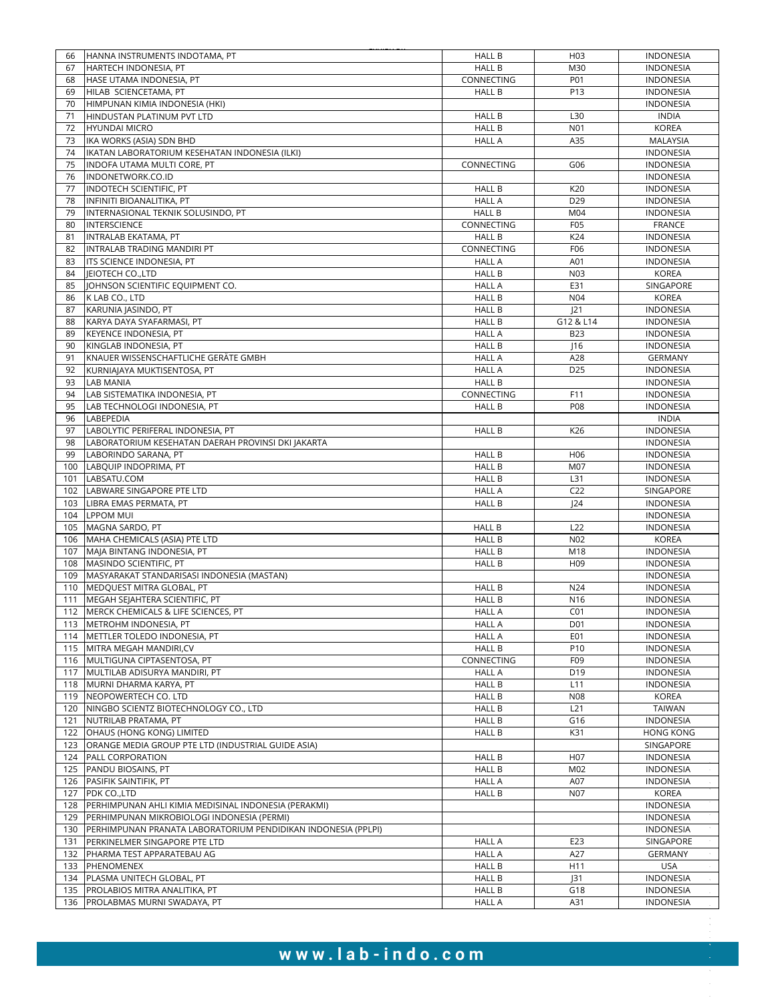| 66  | HANNA INSTRUMENTS INDOTAMA, PT                                | <b>HALL B</b> | H <sub>03</sub> | <b>INDONESIA</b> |
|-----|---------------------------------------------------------------|---------------|-----------------|------------------|
| 67  | HARTECH INDONESIA, PT                                         | <b>HALL B</b> | M30             | <b>INDONESIA</b> |
| 68  | HASE UTAMA INDONESIA, PT                                      | CONNECTING    | P01             | <b>INDONESIA</b> |
| 69  | HILAB SCIENCETAMA, PT                                         | <b>HALL B</b> | P13             | <b>INDONESIA</b> |
| 70  | HIMPUNAN KIMIA INDONESIA (HKI)                                |               |                 | <b>INDONESIA</b> |
| 71  | HINDUSTAN PLATINUM PVT LTD                                    | <b>HALL B</b> | L30             | <b>INDIA</b>     |
|     |                                                               |               |                 |                  |
| 72  | <b>HYUNDAI MICRO</b>                                          | <b>HALL B</b> | N01             | <b>KOREA</b>     |
| 73  | IKA WORKS (ASIA) SDN BHD                                      | <b>HALL A</b> | A35             | MALAYSIA         |
| 74  | IKATAN LABORATORIUM KESEHATAN INDONESIA (ILKI)                |               |                 | <b>INDONESIA</b> |
| 75  | INDOFA UTAMA MULTI CORE, PT                                   | CONNECTING    | G06             | <b>INDONESIA</b> |
| 76  | INDONETWORK.CO.ID                                             |               |                 | <b>INDONESIA</b> |
| 77  | INDOTECH SCIENTIFIC, PT                                       | <b>HALL B</b> | K20             | <b>INDONESIA</b> |
| 78  | INFINITI BIOANALITIKA, PT                                     | <b>HALL A</b> | D <sub>29</sub> | <b>INDONESIA</b> |
|     |                                                               |               |                 |                  |
| 79  | INTERNASIONAL TEKNIK SOLUSINDO. PT                            | <b>HALL B</b> | M04             | <b>INDONESIA</b> |
| 80  | <b>INTERSCIENCE</b>                                           | CONNECTING    | F05             | <b>FRANCE</b>    |
| 81  | INTRALAB EKATAMA, PT                                          | <b>HALL B</b> | K24             | <b>INDONESIA</b> |
| 82  | INTRALAB TRADING MANDIRI PT                                   | CONNECTING    | F06             | <b>INDONESIA</b> |
| 83  | ITS SCIENCE INDONESIA, PT                                     | <b>HALL A</b> | A01             | <b>INDONESIA</b> |
| 84  | JEIOTECH CO., LTD                                             | <b>HALL B</b> | N <sub>03</sub> | <b>KOREA</b>     |
| 85  | JOHNSON SCIENTIFIC EQUIPMENT CO.                              | <b>HALL A</b> | E31             | SINGAPORE        |
|     |                                                               |               |                 |                  |
| 86  | K LAB CO., LTD                                                | <b>HALL B</b> | N04             | <b>KOREA</b>     |
| 87  | KARUNIA JASINDO, PT                                           | <b>HALL B</b> | 21              | INDONESIA        |
| 88  | KARYA DAYA SYAFARMASI, PT                                     | <b>HALL B</b> | G12 & L14       | <b>INDONESIA</b> |
| 89  | KEYENCE INDONESIA, PT                                         | <b>HALL A</b> | <b>B23</b>      | <b>INDONESIA</b> |
| 90  | KINGLAB INDONESIA, PT                                         | <b>HALL B</b> | $\vert$ 16      | <b>INDONESIA</b> |
| 91  | KNAUER WISSENSCHAFTLICHE GERÄTE GMBH                          | <b>HALL A</b> | A28             | <b>GERMANY</b>   |
| 92  | KURNIAJAYA MUKTISENTOSA, PT                                   | <b>HALL A</b> | D <sub>25</sub> | <b>INDONESIA</b> |
|     |                                                               |               |                 |                  |
| 93  | <b>LAB MANIA</b>                                              | <b>HALL B</b> |                 | <b>INDONESIA</b> |
| 94  | LAB SISTEMATIKA INDONESIA, PT                                 | CONNECTING    | F11             | <b>INDONESIA</b> |
| 95  | LAB TECHNOLOGI INDONESIA, PT                                  | <b>HALL B</b> | P08             | <b>INDONESIA</b> |
| 96  | LABEPEDIA                                                     |               |                 | <b>INDIA</b>     |
| 97  | LABOLYTIC PERIFERAL INDONESIA, PT                             | <b>HALL B</b> | K26             | <b>INDONESIA</b> |
| 98  | LABORATORIUM KESEHATAN DAERAH PROVINSI DKI JAKARTA            |               |                 | <b>INDONESIA</b> |
| 99  | LABORINDO SARANA, PT                                          | <b>HALL B</b> | H <sub>06</sub> | <b>INDONESIA</b> |
|     |                                                               |               |                 |                  |
| 100 | LABOUIP INDOPRIMA, PT                                         | <b>HALL B</b> | M07             | <b>INDONESIA</b> |
| 101 | LABSATU.COM                                                   | <b>HALL B</b> | L31             | <b>INDONESIA</b> |
| 102 | LABWARE SINGAPORE PTE LTD                                     | <b>HALL A</b> | C <sub>22</sub> | SINGAPORE        |
| 103 | LIBRA EMAS PERMATA, PT                                        | <b>HALL B</b> | 24              | <b>INDONESIA</b> |
| 104 | <b>LPPOM MUI</b>                                              |               |                 | <b>INDONESIA</b> |
| 105 | MAGNA SARDO, PT                                               | <b>HALL B</b> | L22             | <b>INDONESIA</b> |
| 106 | MAHA CHEMICALS (ASIA) PTE LTD                                 | <b>HALL B</b> | N <sub>02</sub> | <b>KOREA</b>     |
| 107 | MAJA BINTANG INDONESIA, PT                                    | <b>HALL B</b> | M18             | <b>INDONESIA</b> |
|     |                                                               |               |                 |                  |
| 108 | MASINDO SCIENTIFIC, PT                                        | <b>HALL B</b> | H <sub>09</sub> | <b>INDONESIA</b> |
| 109 | MASYARAKAT STANDARISASI INDONESIA (MASTAN)                    |               |                 | <b>INDONESIA</b> |
| 110 | MEDQUEST MITRA GLOBAL, PT                                     | <b>HALL B</b> | N24             | <b>INDONESIA</b> |
| 111 | MEGAH SEJAHTERA SCIENTIFIC, PT                                | <b>HALL B</b> | N <sub>16</sub> | <b>INDONESIA</b> |
|     | 112 MERCK CHEMICALS & LIFE SCIENCES, PT                       | <b>HALL A</b> | CO <sub>1</sub> | <b>INDONESIA</b> |
|     | 113 METROHM INDONESIA, PT                                     | <b>HALL A</b> | D01             | <b>INDONESIA</b> |
|     | 114 METTLER TOLEDO INDONESIA, PT                              | <b>HALL A</b> | E01             | <b>INDONESIA</b> |
|     |                                                               |               |                 |                  |
| 115 | MITRA MEGAH MANDIRI, CV                                       | <b>HALL B</b> | P10             | <b>INDONESIA</b> |
|     | 116 MULTIGUNA CIPTASENTOSA, PT                                | CONNECTING    | F <sub>09</sub> | <b>INDONESIA</b> |
| 117 | MULTILAB ADISURYA MANDIRI, PT                                 | <b>HALL A</b> | D19             | <b>INDONESIA</b> |
| 118 | MURNI DHARMA KARYA, PT                                        | <b>HALL B</b> | L11             | <b>INDONESIA</b> |
| 119 | NEOPOWERTECH CO. LTD                                          | HALL B        | N08             | <b>KOREA</b>     |
| 120 | NINGBO SCIENTZ BIOTECHNOLOGY CO., LTD                         | <b>HALL B</b> | L21             | <b>TAIWAN</b>    |
| 121 | NUTRILAB PRATAMA, PT                                          | <b>HALL B</b> | G16             | <b>INDONESIA</b> |
|     | 122 OHAUS (HONG KONG) LIMITED                                 | <b>HALL B</b> | K31             | <b>HONG KONG</b> |
|     |                                                               |               |                 |                  |
| 123 | ORANGE MEDIA GROUP PTE LTD (INDUSTRIAL GUIDE ASIA)            |               |                 | SINGAPORE        |
|     | 124 PALL CORPORATION                                          | <b>HALL B</b> | H <sub>07</sub> | <b>INDONESIA</b> |
| 125 | PANDU BIOSAINS, PT                                            | <b>HALL B</b> | M02             | <b>INDONESIA</b> |
|     | 126 PASIFIK SAINTIFIK, PT                                     | <b>HALL A</b> | A07             | <b>INDONESIA</b> |
|     | 127 PDK CO., LTD                                              | <b>HALL B</b> | N07             | <b>KOREA</b>     |
| 128 | PERHIMPUNAN AHLI KIMIA MEDISINAL INDONESIA (PERAKMI)          |               |                 | <b>INDONESIA</b> |
| 129 | PERHIMPUNAN MIKROBIOLOGI INDONESIA (PERMI)                    |               |                 | <b>INDONESIA</b> |
|     |                                                               |               |                 |                  |
| 130 | PERHIMPUNAN PRANATA LABORATORIUM PENDIDIKAN INDONESIA (PPLPI) |               |                 | <b>INDONESIA</b> |
| 131 | PERKINELMER SINGAPORE PTE LTD                                 | <b>HALL A</b> | E23             | SINGAPORE        |
| 132 | PHARMA TEST APPARATEBAU AG                                    | <b>HALL A</b> | A27             | GERMANY          |
|     | 133 PHENOMENEX                                                | <b>HALL B</b> | H11             | <b>USA</b>       |
|     | 134 PLASMA UNITECH GLOBAL, PT                                 | <b>HALL B</b> | J31             | <b>INDONESIA</b> |
| 135 | PROLABIOS MITRA ANALITIKA, PT                                 | <b>HALL B</b> | G18             | <b>INDONESIA</b> |
|     |                                                               |               |                 |                  |
|     | 136 PROLABMAS MURNI SWADAYA, PT                               | <b>HALL A</b> | A31             | <b>INDONESIA</b> |

## **w w w .lab- i n d o . c o m**